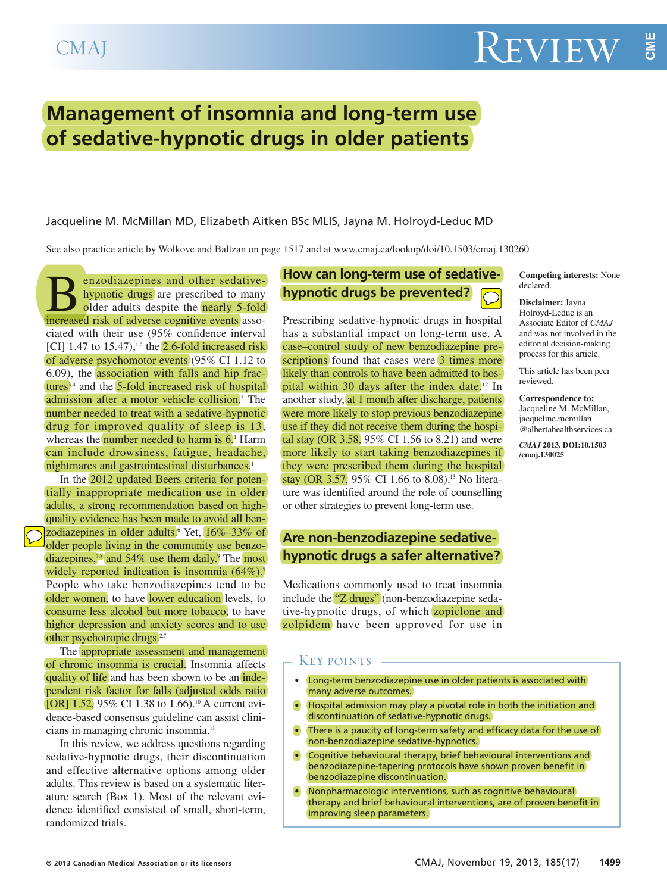# **Management of insomnia and long-term use of sedative-hypnotic drugs in older patients**

Jacqueline M. McMillan MD, Elizabeth Aitken BSc MLIS, Jayna M. Holroyd-Leduc MD

See also practice article by Wolkove and Baltzan on page 1517 and at www.cmaj.ca/lookup/doi/10.1503/cmaj.130260

**B**enzodiazepines and other sedative-<br>hypnotic drugs are prescribed to many<br>older adults despite the **nearly 5-fold**<br>increased risk of adverse cognitive events assohypnotic drugs are prescribed to many older adults despite the nearly 5-fold increased risk of adverse cognitive events associated with their use (95% confidence interval [CI] 1.47 to  $15.47$ ),<sup>1,2</sup> the **2.6-fold increased risk** of adverse psychomotor events (95% CI 1.12 to 6.09), the association with falls and hip fractures<sup>3,4</sup> and the  $5$ -fold increased risk of hospital admission after a motor vehicle collision. <sup>5</sup> The number needed to treat with a sedative-hypnotic drug for improved quality of sleep is 13, whereas the **number needed to harm is 6**. Harm can include drowsiness, fatigue, headache, nightmares and gastrointestinal disturbances. 1

In the 2012 updated Beers criteria for potentially inappropriate medication use in older adults, a strong recommendation based on highquality evidence has been made to avoid all benzodiazepines in older adults.<sup>6</sup> Yet, 16%–33% of older people living in the community use benzodiazepines,<sup>7,8</sup> and 54% use them daily.<sup>9</sup> The most widely reported indication is insomnia  $(64\%)$ . People who take benzodiazepines tend to be older women, to have lower education levels, to consume less alcohol but more tobacco, to have higher depression and anxiety scores and to use other psychotropic drugs.<sup>2,7</sup>

The appropriate assessment and management of chronic insomnia is crucial. Insomnia affects quality of life and has been shown to be an independent risk factor for falls (adjusted odds ratio [OR] 1.52, 95% CI 1.38 to 1.66).<sup>10</sup> A current evidence-based consensus guideline can assist clinicians in managing chronic insomnia. 11

In this review, we address questions regarding sedative-hypnotic drugs, their discontinuation and effective alternative options among older adults. This review is based on a systematic literature search (Box 1). Most of the relevant evidence identified consisted of small, short-term, randomized trials.

### **How can long-term use of sedativehypnotic drugs be prevented?**

Prescribing sedative-hypnotic drugs in hospital has a substantial impact on long-term use. A case–control study of new benzodiazepine prescriptions found that cases were 3 times more likely than controls to have been admitted to hospital within 30 days after the index date.<sup>12</sup> In another study, at 1 month after discharge, patients were more likely to stop previous benzodiazepine use if they did not receive them during the hospital stay (OR 3.58, 95% CI 1.56 to 8.21) and were more likely to start taking benzodiazepines if they were prescribed them during the hospital stay (OR 3.57, 95% CI 1.66 to 8.08). <sup>13</sup> No literature was identified around the role of counselling or other strategies to prevent long-term use.

### **Are non-benzodiazepine sedativehypnotic drugs a safer alternative?**

Medications commonly used to treat insomnia include the "Z drugs" (non-benzodiazepine sedative-hypnotic drugs, of which **zopiclone** and zolpidem have been approved for use in

### KEY POINTS -

- Long-term benzodiazepine use in older patients is associated with many adverse outcomes.
- Hospital admission may play a pivotal role in both the initiation and discontinuation of sedative-hypnotic drugs.
- There is a paucity of long-term safety and efficacy data for the use of non-benzodiazepine sedative-hypnotics.
- Cognitive behavioural therapy, brief behavioural interventions and benzodiazepine-tapering protocols have shown proven benefit in benzodiazepine discontinuation.
- Nonpharmacologic interventions, such as cognitive behavioural therapy and brief behavioural interventions, are of proven benefit in improving sleep parameters.

**Competing interests:** None declared.

**Disclaimer:** Jayna Holroyd-Leduc is an Associate Editor of *CMAJ* and was not involved in the editorial decision-making process for this article.

This article has been peer reviewed.

**Correspondence to:** Jacqueline M. McMillan, jacqueline.mcmillan @albertahealthservices.ca

*CMAJ* **2013. DOI:10.1503 /cmaj.130025**

**M E**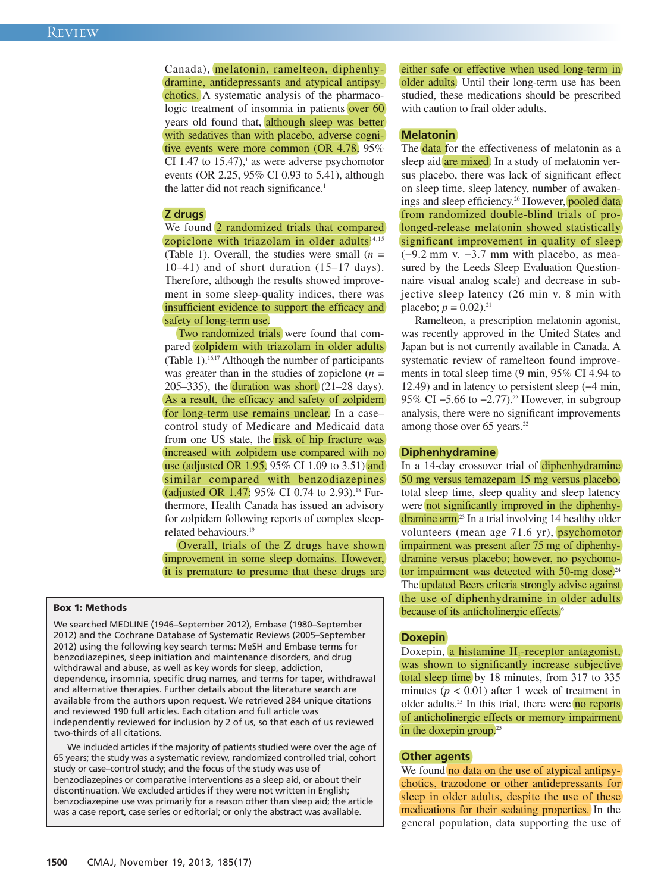Canada), melatonin, ramelteon, diphenhydramine, antidepressants and atypical antipsychotics. A systematic analysis of the pharmacologic treatment of insomnia in patients over 60 years old found that, although sleep was better with sedatives than with placebo, adverse cognitive events were more common (OR 4.78, 95% CI 1.47 to 15.47), <sup>1</sup> as were adverse psychomotor events (OR 2.25, 95% CI 0.93 to 5.41), although the latter did not reach significance. 1

#### **Z drugs**

We found 2 randomized trials that compared zopiclone with triazolam in older adults $14,15$ (Table 1). Overall, the studies were small  $(n =$ 10–41) and of short duration (15–17 days). Therefore, although the results showed improvement in some sleep-quality indices, there was insufficient evidence to support the efficacy and safety of long-term use.

Two randomized trials were found that compared zolpidem with triazolam in older adults (Table 1). 16,17 Although the number of participants was greater than in the studies of zopiclone  $(n =$  $205-335$ ), the duration was short  $(21-28 \text{ days})$ . As a result, the efficacy and safety of zolpidem for long-term use remains unclear. In a case– control study of Medicare and Medicaid data from one US state, the risk of hip fracture was increased with zolpidem use compared with no use (adjusted OR 1.95, 95% CI 1.09 to 3.51) and similar compared with benzodiazepines (adjusted OR 1.47; 95% CI 0.74 to 2.93). <sup>18</sup> Furthermore, Health Canada has issued an advisory for zolpidem following reports of complex sleeprelated behaviours. 19

Overall, trials of the Z drugs have shown improvement in some sleep domains. However, it is premature to presume that these drugs are

#### **Box 1: Methods**

We searched MEDLINE (1946–September 2012), Embase (1980–September 2012) and the Cochrane Database of Systematic Reviews (2005–September 2012) using the following key search terms: MeSH and Embase terms for benzodiazepines, sleep initiation and maintenance disorders, and drug withdrawal and abuse, as well as key words for sleep, addiction, dependence, insomnia, specific drug names, and terms for taper, withdrawal and alternative therapies. Further details about the literature search are available from the authors upon request. We retrieved 284 unique citations and reviewed 190 full articles. Each citation and full article was independently reviewed for inclusion by 2 of us, so that each of us reviewed two-thirds of all citations.

We included articles if the majority of patients studied were over the age of 65 years; the study was a systematic review, randomized controlled trial, cohort study or case–control study; and the focus of the study was use of benzodiazepines or comparative interventions as a sleep aid, or about their discontinuation. We excluded articles if they were not written in English; benzodiazepine use was primarily for a reason other than sleep aid; the article was a case report, case series or editorial; or only the abstract was available.

either safe or effective when used long-term in older adults. Until their long-term use has been studied, these medications should be prescribed with caution to frail older adults.

#### **Melatonin**

The **data** for the effectiveness of melatonin as a sleep aid are mixed. In a study of melatonin versus placebo, there was lack of significant effect on sleep time, sleep latency, number of awakenings and sleep efficiency. <sup>20</sup> However, pooled data from randomized double-blind trials of prolonged-release melatonin showed statistically significant improvement in quality of sleep (−9.2 mm v. −3.7 mm with placebo, as measured by the Leeds Sleep Evaluation Questionnaire visual analog scale) and decrease in subjective sleep latency (26 min v. 8 min with placebo;  $p = 0.02$ ).<sup>21</sup>

Ramelteon, a prescription melatonin agonist, was recently approved in the United States and Japan but is not currently available in Canada. A systematic review of ramelteon found improvements in total sleep time (9 min, 95% CI 4.94 to 12.49) and in latency to persistent sleep (−4 min, 95% CI –5.66 to –2.77).<sup>22</sup> However, in subgroup analysis, there were no significant improvements among those over 65 years. 22

### **Diphenhydramine**

In a 14-day crossover trial of diphenhydramine 50 mg versus temazepam 15 mg versus placebo, total sleep time, sleep quality and sleep latency were not significantly improved in the diphenhydramine arm. <sup>23</sup> In a trial involving 14 healthy older volunteers (mean age 71.6 yr), psychomotor impairment was present after 75 mg of diphenhydramine versus placebo; however, no psychomotor impairment was detected with 50-mg dose.<sup>24</sup> The updated Beers criteria strongly advise against the use of diphenhydramine in older adults because of its anticholinergic effects. 6

#### **Doxepin**

Doxepin, a histamine  $H_1$ -receptor antagonist, was shown to significantly increase subjective total sleep time by 18 minutes, from 317 to 335 minutes  $(p < 0.01)$  after 1 week of treatment in older adults.<sup>25</sup> In this trial, there were no reports of anticholinergic effects or memory impairment in the doxepin group.<sup>25</sup>

#### **Other agents**

We found no data on the use of atypical antipsychotics, trazodone or other antidepressants for sleep in older adults, despite the use of these medications for their sedating properties. In the general population, data supporting the use of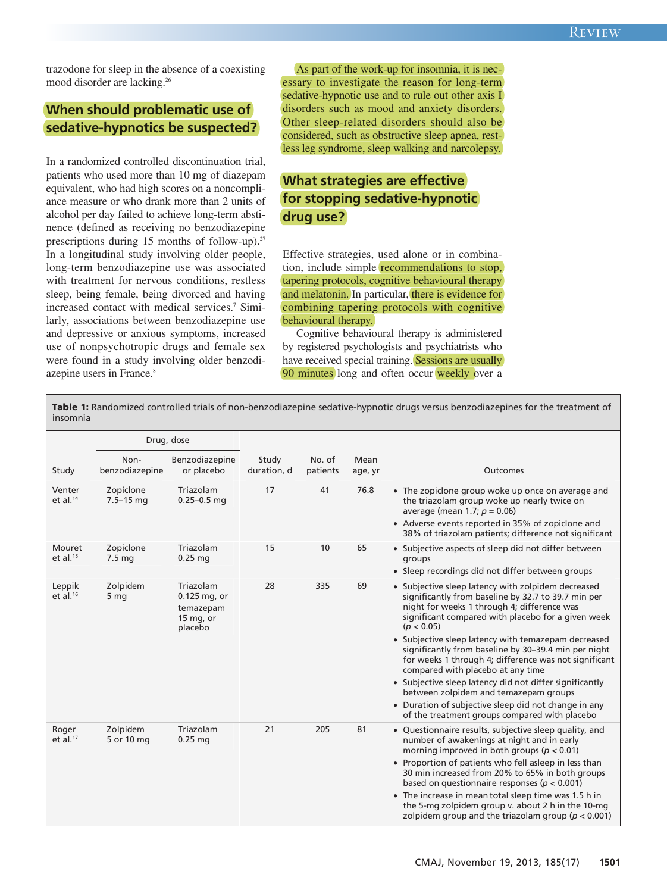trazodone for sleep in the absence of a coexisting mood disorder are lacking. 26

## **When should problematic use of sedative-hypnotics be suspected?**

In a randomized controlled discontinuation trial, patients who used more than 10 mg of diazepam equivalent, who had high scores on a noncompliance measure or who drank more than 2 units of alcohol per day failed to achieve long-term abstinence (defined as receiving no benzodiazepine prescriptions during 15 months of follow-up).<sup>27</sup> In a longitudinal study involving older people, long-term benzodiazepine use was associated with treatment for nervous conditions, restless sleep, being female, being divorced and having increased contact with medical services. <sup>7</sup> Similarly, associations between benzodiazepine use and depressive or anxious symptoms, increased use of nonpsychotropic drugs and female sex were found in a study involving older benzodiazepine users in France. 8

As part of the work-up for insomnia, it is necessary to investigate the reason for long-term sedative-hypnotic use and to rule out other axis I disorders such as mood and anxiety disorders. Other sleep-related disorders should also be considered, such as obstructive sleep apnea, restless leg syndrome, sleep walking and narcolepsy.

# **What strategies are effective for stopping sedative-hypnotic drug use?**

Effective strategies, used alone or in combination, include simple recommendations to stop, tapering protocols, cognitive behavioural therapy and melatonin. In particular, there is evidence for combining tapering protocols with cognitive behavioural therapy.

Cognitive behavioural therapy is administered by registered psychologists and psychiatrists who have received special training. Sessions are usually 90 minutes long and often occur weekly over a

**Table 1:** Randomized controlled trials of non-benzodiazepine sedative-hypnotic drugs versus benzodiazepines for the treatment of insomnia

|                       | Drug, dose                 |                                                                   |                      |                    |                 |                                                                                                                                                                                                                                                                                                                                                                                                                                                                                                                                                                                                                                                        |
|-----------------------|----------------------------|-------------------------------------------------------------------|----------------------|--------------------|-----------------|--------------------------------------------------------------------------------------------------------------------------------------------------------------------------------------------------------------------------------------------------------------------------------------------------------------------------------------------------------------------------------------------------------------------------------------------------------------------------------------------------------------------------------------------------------------------------------------------------------------------------------------------------------|
| Study                 | Non-<br>benzodiazepine     | Benzodiazepine<br>or placebo                                      | Study<br>duration, d | No. of<br>patients | Mean<br>age, yr | <b>Outcomes</b>                                                                                                                                                                                                                                                                                                                                                                                                                                                                                                                                                                                                                                        |
| Venter<br>et al. $14$ | Zopiclone<br>$7.5 - 15$ mg | Triazolam<br>$0.25 - 0.5$ mg                                      | 17                   | 41                 | 76.8            | • The zopiclone group woke up once on average and<br>the triazolam group woke up nearly twice on<br>average (mean 1.7; $p = 0.06$ )<br>• Adverse events reported in 35% of zopiclone and<br>38% of triazolam patients; difference not significant                                                                                                                                                                                                                                                                                                                                                                                                      |
| Mouret<br>et al. $15$ | Zopiclone<br>7.5 mg        | Triazolam<br>$0.25$ mg                                            | 15                   | 10                 | 65              | • Subjective aspects of sleep did not differ between<br>groups<br>• Sleep recordings did not differ between groups                                                                                                                                                                                                                                                                                                                                                                                                                                                                                                                                     |
| Leppik<br>et al. $16$ | Zolpidem<br>5 mg           | Triazolam<br>0.125 mg, or<br>temazepam<br>15 $mg$ , or<br>placebo | 28                   | 335                | 69              | • Subjective sleep latency with zolpidem decreased<br>significantly from baseline by 32.7 to 39.7 min per<br>night for weeks 1 through 4; difference was<br>significant compared with placebo for a given week<br>(p < 0.05)<br>• Subjective sleep latency with temazepam decreased<br>significantly from baseline by 30-39.4 min per night<br>for weeks 1 through 4; difference was not significant<br>compared with placebo at any time<br>• Subjective sleep latency did not differ significantly<br>between zolpidem and temazepam groups<br>• Duration of subjective sleep did not change in any<br>of the treatment groups compared with placebo |
| Roger<br>et al. $17$  | Zolpidem<br>5 or 10 mg     | Triazolam<br>$0.25$ mg                                            | 21                   | 205                | 81              | • Questionnaire results, subjective sleep quality, and<br>number of awakenings at night and in early<br>morning improved in both groups ( $p < 0.01$ )<br>• Proportion of patients who fell asleep in less than<br>30 min increased from 20% to 65% in both groups<br>based on questionnaire responses ( $p < 0.001$ )<br>• The increase in mean total sleep time was 1.5 h in<br>the 5-mg zolpidem group v. about 2 h in the 10-mg<br>zolpidem group and the triazolam group ( $p < 0.001$ )                                                                                                                                                          |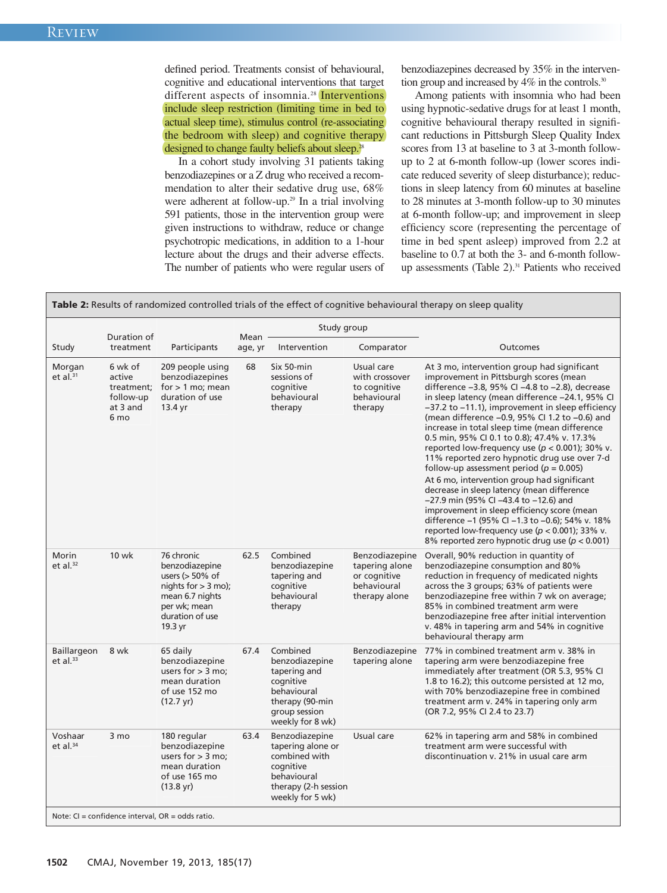defined period. Treatments consist of behavioural, cognitive and educational interventions that target different aspects of insomnia.<sup>28</sup> Interventions include sleep restriction (limiting time in bed to actual sleep time), stimulus control (re-associating the bedroom with sleep) and cognitive therapy designed to change faulty beliefs about sleep.<sup>28</sup>

In a cohort study involving 31 patients taking benzodiazepines or a Z drug who received a recommendation to alter their sedative drug use, 68% were adherent at follow-up. <sup>29</sup> In a trial involving 591 patients, those in the intervention group were given instructions to withdraw, reduce or change psychotropic medications, in addition to a 1-hour lecture about the drugs and their adverse effects. The number of patients who were regular users of benzodiazepines decreased by 35% in the intervention group and increased by 4% in the controls.<sup>30</sup>

Among patients with insomnia who had been using hypnotic-sedative drugs for at least 1 month, cognitive behavioural therapy resulted in significant reductions in Pittsburgh Sleep Quality Index scores from 13 at baseline to 3 at 3-month followup to 2 at 6-month follow-up (lower scores indicate reduced severity of sleep disturbance); reductions in sleep latency from 60 minutes at baseline to 28 minutes at 3-month follow-up to 30 minutes at 6-month follow-up; and improvement in sleep efficiency score (representing the percentage of time in bed spent asleep) improved from 2.2 at baseline to 0.7 at both the 3- and 6-month followup assessments (Table 2). <sup>31</sup> Patients who received

**Table 2:** Results of randomized controlled trials of the effect of cognitive behavioural therapy on sleep quality

|                                                      |                                                                             |                                                                                                                                              | Study group     |                                                                                                                                |                                                                                  |                                                                                                                                                                                                                                                                                                                                                                                                                                                                                                                                                                                                                                                                                                                                                                                                                                                                                                            |  |  |  |
|------------------------------------------------------|-----------------------------------------------------------------------------|----------------------------------------------------------------------------------------------------------------------------------------------|-----------------|--------------------------------------------------------------------------------------------------------------------------------|----------------------------------------------------------------------------------|------------------------------------------------------------------------------------------------------------------------------------------------------------------------------------------------------------------------------------------------------------------------------------------------------------------------------------------------------------------------------------------------------------------------------------------------------------------------------------------------------------------------------------------------------------------------------------------------------------------------------------------------------------------------------------------------------------------------------------------------------------------------------------------------------------------------------------------------------------------------------------------------------------|--|--|--|
| Study                                                | Duration of<br>treatment                                                    | Participants                                                                                                                                 | Mean<br>age, yr | Intervention                                                                                                                   | Comparator                                                                       | Outcomes                                                                                                                                                                                                                                                                                                                                                                                                                                                                                                                                                                                                                                                                                                                                                                                                                                                                                                   |  |  |  |
| Morgan<br>et al. $31$                                | 6 wk of<br>active<br>treatment:<br>follow-up<br>at 3 and<br>6 <sub>mo</sub> | 209 people using<br>benzodiazepines<br>for $> 1$ mo; mean<br>duration of use<br>13.4 yr                                                      | 68              | Six 50-min<br>sessions of<br>cognitive<br>behavioural<br>therapy                                                               | Usual care<br>with crossover<br>to cognitive<br>behavioural<br>therapy           | At 3 mo, intervention group had significant<br>improvement in Pittsburgh scores (mean<br>difference -3.8, 95% CI -4.8 to -2.8), decrease<br>in sleep latency (mean difference -24.1, 95% CI<br>-37.2 to -11.1), improvement in sleep efficiency<br>(mean difference -0.9, 95% CI 1.2 to -0.6) and<br>increase in total sleep time (mean difference<br>0.5 min, 95% CI 0.1 to 0.8); 47.4% v. 17.3%<br>reported low-frequency use ( $p < 0.001$ ); 30% v.<br>11% reported zero hypnotic drug use over 7-d<br>follow-up assessment period ( $p = 0.005$ )<br>At 6 mo, intervention group had significant<br>decrease in sleep latency (mean difference<br>-27.9 min (95% CI -43.4 to -12.6) and<br>improvement in sleep efficiency score (mean<br>difference -1 (95% CI -1.3 to -0.6); 54% v. 18%<br>reported low-frequency use ( $p < 0.001$ ); 33% v.<br>8% reported zero hypnotic drug use ( $p < 0.001$ ) |  |  |  |
| Morin<br>et al. <sup>32</sup>                        | <b>10 wk</b>                                                                | 76 chronic<br>benzodiazepine<br>users $(> 50\%$ of<br>nights for $>$ 3 mo);<br>mean 6.7 nights<br>per wk: mean<br>duration of use<br>19.3 yr | 62.5            | Combined<br>benzodiazepine<br>tapering and<br>cognitive<br>behavioural<br>therapy                                              | Benzodiazepine<br>tapering alone<br>or cognitive<br>behavioural<br>therapy alone | Overall, 90% reduction in quantity of<br>benzodiazepine consumption and 80%<br>reduction in frequency of medicated nights<br>across the 3 groups; 63% of patients were<br>benzodiazepine free within 7 wk on average;<br>85% in combined treatment arm were<br>benzodiazepine free after initial intervention<br>v. 48% in tapering arm and 54% in cognitive<br>behavioural therapy arm                                                                                                                                                                                                                                                                                                                                                                                                                                                                                                                    |  |  |  |
| Baillargeon<br>et al. $33$                           | 8 wk                                                                        | 65 daily<br>benzodiazepine<br>users for $>$ 3 mo:<br>mean duration<br>of use 152 mo<br>$(12.7 \text{ yr})$                                   | 67.4            | Combined<br>benzodiazepine<br>tapering and<br>cognitive<br>behavioural<br>therapy (90-min<br>group session<br>weekly for 8 wk) | Benzodiazepine<br>tapering alone                                                 | 77% in combined treatment arm v. 38% in<br>tapering arm were benzodiazepine free<br>immediately after treatment (OR 5.3, 95% CI<br>1.8 to 16.2); this outcome persisted at 12 mo,<br>with 70% benzodiazepine free in combined<br>treatment arm v. 24% in tapering only arm<br>(OR 7.2, 95% CI 2.4 to 23.7)                                                                                                                                                                                                                                                                                                                                                                                                                                                                                                                                                                                                 |  |  |  |
| Voshaar<br>et al. $34$                               | $3 \text{ mo}$                                                              | 180 regular<br>benzodiazepine<br>users for $>$ 3 mo:<br>mean duration<br>of use 165 mo<br>$(13.8 \,\text{yr})$                               | 63.4            | Benzodiazepine<br>tapering alone or<br>combined with<br>coanitive<br>behavioural<br>therapy (2-h session<br>weekly for 5 wk)   | Usual care                                                                       | 62% in tapering arm and 58% in combined<br>treatment arm were successful with<br>discontinuation v. 21% in usual care arm                                                                                                                                                                                                                                                                                                                                                                                                                                                                                                                                                                                                                                                                                                                                                                                  |  |  |  |
| Note: $CI = confidence$ interval, $OR = odds$ ratio. |                                                                             |                                                                                                                                              |                 |                                                                                                                                |                                                                                  |                                                                                                                                                                                                                                                                                                                                                                                                                                                                                                                                                                                                                                                                                                                                                                                                                                                                                                            |  |  |  |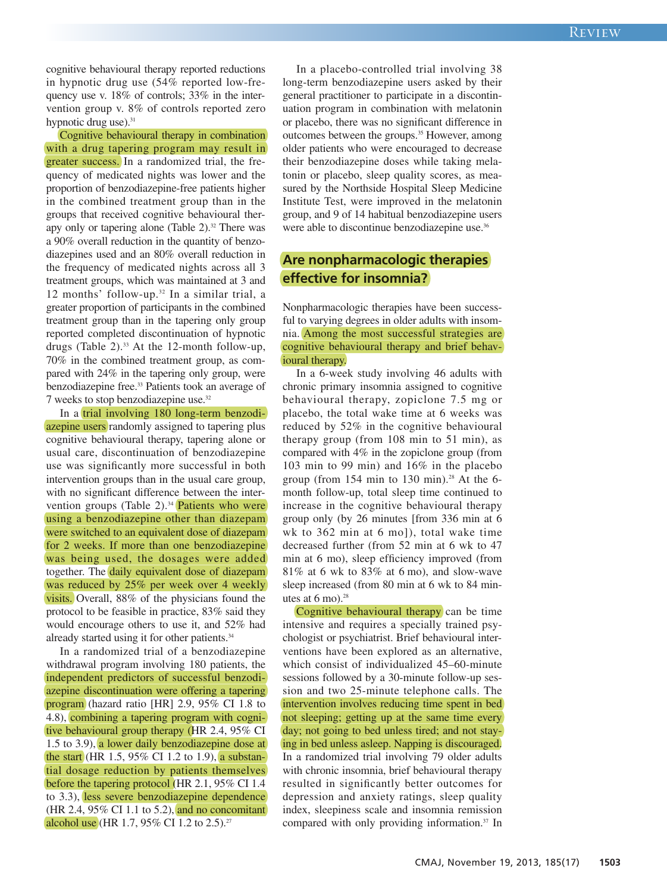cognitive behavioural therapy reported reductions in hypnotic drug use (54% reported low-frequency use v. 18% of controls; 33% in the intervention group v. 8% of controls reported zero hypnotic drug use).<sup>31</sup>

Cognitive behavioural therapy in combination with a drug tapering program may result in greater success. In a randomized trial, the frequency of medicated nights was lower and the proportion of benzodiazepine-free patients higher in the combined treatment group than in the groups that received cognitive behavioural therapy only or tapering alone (Table 2). <sup>32</sup> There was a 90% overall reduction in the quantity of benzodiazepines used and an 80% overall reduction in the frequency of medicated nights across all 3 treatment groups, which was maintained at 3 and 12 months' follow-up. <sup>32</sup> In a similar trial, a greater proportion of participants in the combined treatment group than in the tapering only group reported completed discontinuation of hypnotic drugs (Table 2). <sup>33</sup> At the 12-month follow-up, 70% in the combined treatment group, as compared with 24% in the tapering only group, were benzodiazepine free. <sup>33</sup> Patients took an average of 7 weeks to stop benzodiazepine use. 32

In a trial involving 180 long-term benzodiazepine users randomly assigned to tapering plus cognitive behavioural therapy, tapering alone or usual care, discontinuation of benzodiazepine use was significantly more successful in both intervention groups than in the usual care group, with no significant difference between the intervention groups (Table 2). <sup>34</sup> Patients who were using a benzodiazepine other than diazepam were switched to an equivalent dose of diazepam for 2 weeks. If more than one benzodiazepine was being used, the dosages were added together. The daily equivalent dose of diazepam was reduced by 25% per week over 4 weekly visits. Overall, 88% of the physicians found the protocol to be feasible in practice, 83% said they would encourage others to use it, and 52% had already started using it for other patients. 34

In a randomized trial of a benzodiazepine withdrawal program involving 180 patients, the independent predictors of successful benzodiazepine discontinuation were offering a tapering program (hazard ratio [HR] 2.9, 95% CI 1.8 to 4.8), combining a tapering program with cognitive behavioural group therapy (HR 2.4, 95% CI 1.5 to 3.9), a lower daily benzodiazepine dose at the start (HR 1.5, 95% CI 1.2 to 1.9), a substantial dosage reduction by patients themselves before the tapering protocol (HR 2.1, 95% CI 1.4 to 3.3), less severe benzodiazepine dependence (HR 2.4, 95% CI 1.1 to 5.2), and no concomitant alcohol use (HR 1.7, 95% CI 1.2 to 2.5).<sup>27</sup>

In a placebo-controlled trial involving 38 long-term benzodiazepine users asked by their general practitioner to participate in a discontinuation program in combination with melatonin or placebo, there was no significant difference in outcomes between the groups. <sup>35</sup> However, among older patients who were encouraged to decrease their benzodiazepine doses while taking melatonin or placebo, sleep quality scores, as measured by the Northside Hospital Sleep Medicine Institute Test, were improved in the melatonin group, and 9 of 14 habitual benzodiazepine users were able to discontinue benzodiazepine use. 36

## **Are nonpharmacologic therapies effective for insomnia?**

Nonpharmacologic therapies have been successful to varying degrees in older adults with insomnia. Among the most successful strategies are cognitive behavioural therapy and brief behavioural therapy.

In a 6-week study involving 46 adults with chronic primary insomnia assigned to cognitive behavioural therapy, zopiclone 7.5 mg or placebo, the total wake time at 6 weeks was reduced by 52% in the cognitive behavioural therapy group (from 108 min to 51 min), as compared with 4% in the zopiclone group (from 103 min to 99 min) and 16% in the placebo group (from 154 min to 130 min). <sup>28</sup> At the 6 month follow-up, total sleep time continued to increase in the cognitive behavioural therapy group only (by 26 minutes [from 336 min at 6 wk to 362 min at 6 mo]), total wake time decreased further (from 52 min at 6 wk to 47 min at 6 mo), sleep efficiency improved (from 81% at 6 wk to 83% at 6 mo), and slow-wave sleep increased (from 80 min at 6 wk to 84 minutes at 6 mo). 28

Cognitive behavioural therapy can be time intensive and requires a specially trained psychologist or psychiatrist. Brief behavioural interventions have been explored as an alternative, which consist of individualized 45–60-minute sessions followed by a 30-minute follow-up session and two 25-minute telephone calls. The intervention involves reducing time spent in bed not sleeping; getting up at the same time every day; not going to bed unless tired; and not staying in bed unless asleep. Napping is discouraged. In a randomized trial involving 79 older adults with chronic insomnia, brief behavioural therapy resulted in significantly better outcomes for depression and anxiety ratings, sleep quality index, sleepiness scale and insomnia remission compared with only providing information. <sup>37</sup> In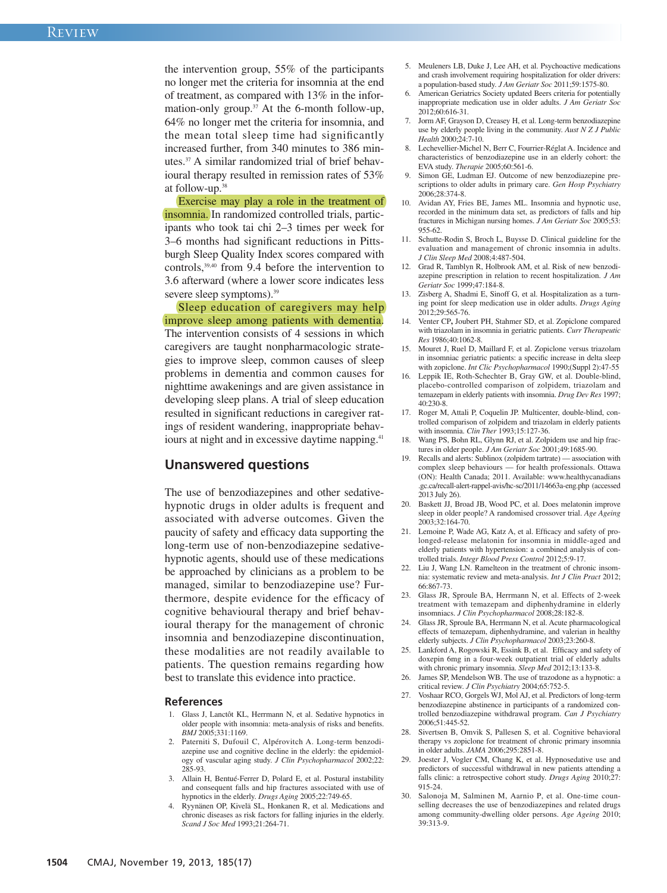the intervention group, 55% of the participants no longer met the criteria for insomnia at the end of treatment, as compared with 13% in the information-only group. <sup>37</sup> At the 6-month follow-up, 64% no longer met the criteria for insomnia, and the mean total sleep time had significantly increased further, from 340 minutes to 386 minutes. <sup>37</sup> A similar randomized trial of brief behavioural therapy resulted in remission rates of 53% at follow-up. 38

Exercise may play a role in the treatment of insomnia. In randomized controlled trials, participants who took tai chi 2–3 times per week for 3–6 months had significant reductions in Pittsburgh Sleep Quality Index scores compared with controls, 39,40 from 9.4 before the intervention to 3.6 afterward (where a lower score indicates less severe sleep symptoms). 39

Sleep education of caregivers may help improve sleep among patients with dementia. The intervention consists of 4 sessions in which caregivers are taught nonpharmacologic strategies to improve sleep, common causes of sleep problems in dementia and common causes for nighttime awakenings and are given assistance in developing sleep plans. A trial of sleep education resulted in significant reductions in caregiver ratings of resident wandering, inappropriate behaviours at night and in excessive daytime napping.<sup>41</sup>

### **Unanswered questions**

The use of benzodiazepines and other sedativehypnotic drugs in older adults is frequent and associated with adverse outcomes. Given the paucity of safety and efficacy data supporting the long-term use of non-benzodiazepine sedativehypnotic agents, should use of these medications be approached by clinicians as a problem to be managed, similar to benzodiazepine use? Furthermore, despite evidence for the efficacy of cognitive behavioural therapy and brief behavioural therapy for the management of chronic insomnia and benzodiazepine discontinuation, these modalities are not readily available to patients. The question remains regarding how best to translate this evidence into practice.

#### **References**

- 1. Glass J, Lanctôt KL, Herrmann N, et al. Sedative hypnotics in older people with insomnia: meta-analysis of risks and benefits. *BMJ* 2005;331:1169.
- 2. Paterniti S, Dufouil C, Alpérovitch A. Long-term benzodiazepine use and cognitive decline in the elderly: the epidemiology of vascular aging study. *J Clin Psychopharmacol* 2002;22: 285-93.
- 3. Allain H, Bentué-Ferrer D, Polard E, et al. Postural instability and consequent falls and hip fractures associated with use of hypnotics in the elderly. *Drugs Aging* 2005;22:749-65.
- 4. Ryynänen OP, Kivelä SL, Honkanen R, et al. Medications and chronic diseases as risk factors for falling injuries in the elderly. *Scand J Soc Med* 1993;21:264-71.
- 5. Meuleners LB, Duke J, Lee AH, et al. Psychoactive medications and crash involvement requiring hospitalization for older drivers: a population-based study. *J Am Geriatr Soc* 2011;59:1575-80.
- American Geriatrics Society updated Beers criteria for potentially inappropriate medication use in older adults. *J Am Geriatr Soc* 2012;60:616-31.
- 7. Jorm AF, Grayson D, Creasey H, et al. Long-term benzodiazepine use by elderly people living in the community. *Aust N Z J Public Health* 2000;24:7-10.
- 8. Lechevellier-Michel N, Berr C, Fourrier-Réglat A. Incidence and characteristics of benzodiazepine use in an elderly cohort: the EVA study. *Therapie* 2005;60:561-6.
- Simon GE, Ludman EJ. Outcome of new benzodiazepine prescriptions to older adults in primary care. *Gen Hosp Psychiatry* 2006;28:374-8.
- 10. Avidan AY, Fries BE, James ML. Insomnia and hypnotic use, recorded in the minimum data set, as predictors of falls and hip fractures in Michigan nursing homes. *J Am Geriatr Soc* 2005;53: 955-62.
- 11. Schutte-Rodin S, Broch L, Buysse D. Clinical guideline for the evaluation and management of chronic insomnia in adults. *J Clin Sleep Med* 2008;4:487-504.
- 12. Grad R, Tamblyn R, Holbrook AM, et al. Risk of new benzodiazepine prescription in relation to recent hospitalization. *J Am Geriatr Soc* 1999;47:184-8.
- 13. Zisberg A, Shadmi E, Sinoff G, et al. Hospitalization as a turning point for sleep medication use in older adults. *Drugs Aging* 2012;29:565-76.
- 14. Venter CP**,** Joubert PH, Stahmer SD, et al. Zopiclone compared with triazolam in insomnia in geriatric patients. *Curr Therapeutic Res* 1986;40:1062-8.
- 15. Mouret J, Ruel D, Maillard F, et al. Zopiclone versus triazolam in insomniac geriatric patients: a specific increase in delta sleep with zopiclone. *Int Clic Psychopharmacol* 1990;(Suppl 2):47-55
- 16. Leppik IE, Roth-Schechter B, Gray GW, et al. Double-blind, placebo-controlled comparison of zolpidem, triazolam and temazepam in elderly patients with insomnia. *Drug Dev Res* 1997; 40:230-8.
- 17. Roger M, Attali P, Coquelin JP. Multicenter, double-blind, controlled comparison of zolpidem and triazolam in elderly patients with insomnia. *Clin Ther* 1993;15:127-36.
- 18. Wang PS, Bohn RL, Glynn RJ, et al. Zolpidem use and hip fractures in older people. *J Am Geriatr Soc* 2001;49:1685-90.
- Recalls and alerts: Sublinox (zolpidem tartrate) association with complex sleep behaviours — for health professionals. Ottawa (ON): Health Canada; 2011. Available: www.healthycanadians .gc.ca/recall-alert-rappel-avis/hc-sc/2011/14663a-eng.php (accessed 2013 July 26).
- 20. Baskett JJ, Broad JB, Wood PC, et al. Does melatonin improve sleep in older people? A randomised crossover trial. *Age Ageing* 2003;32:164-70.
- 21. Lemoine P, Wade AG, Katz A, et al. Efficacy and safety of prolonged-release melatonin for insomnia in middle-aged and elderly patients with hypertension: a combined analysis of controlled trials. *Integr Blood Press Control* 2012;5:9-17.
- 22. Liu J, Wang LN. Ramelteon in the treatment of chronic insomnia: systematic review and meta-analysis. *Int J Clin Pract* 2012; 66:867-73.
- 23. Glass JR, Sproule BA, Herrmann N, et al. Effects of 2-week treatment with temazepam and diphenhydramine in elderly insomniacs. *J Clin Psychopharmacol* 2008;28:182-8.
- 24. Glass JR, Sproule BA, Herrmann N, et al. Acute pharmacological effects of temazepam, diphenhydramine, and valerian in healthy elderly subjects. *J Clin Psychopharmacol* 2003;23:260-8.
- 25. Lankford A, Rogowski R, Essink B, et al. Efficacy and safety of doxepin 6mg in a four-week outpatient trial of elderly adults with chronic primary insomnia. *Sleep Med* 2012;13:133-8.
- 26. James SP, Mendelson WB. The use of trazodone as a hypnotic: a critical review. *J Clin Psychiatry* 2004;65:752-5.
- 27. Voshaar RCO, Gorgels WJ, Mol AJ, et al. Predictors of long-term benzodiazepine abstinence in participants of a randomized controlled benzodiazepine withdrawal program. *Can J Psychiatry* 2006;51:445-52.
- 28. Sivertsen B, Omvik S, Pallesen S, et al. Cognitive behavioral therapy vs zopiclone for treatment of chronic primary insomnia in older adults. *JAMA* 2006;295:2851-8.
- 29. Joester J, Vogler CM, Chang K, et al. Hypnosedative use and predictors of successful withdrawal in new patients attending a falls clinic: a retrospective cohort study. *Drugs Aging* 2010;27: 915-24.
- 30. Salonoja M, Salminen M, Aarnio P, et al. One-time counselling decreases the use of benzodiazepines and related drugs among community-dwelling older persons. *Age Ageing* 2010; 39:313-9.